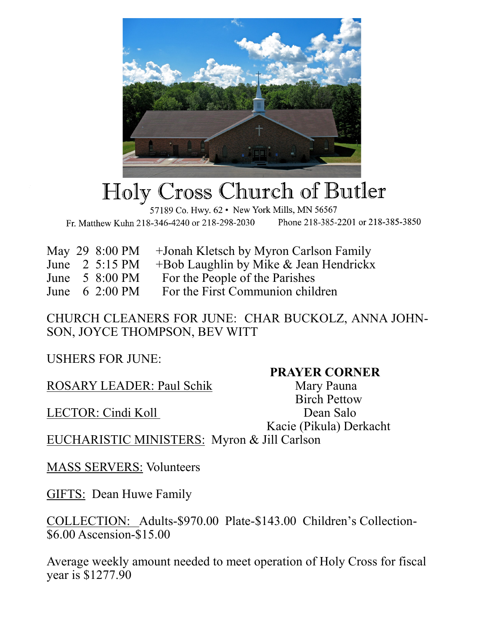

## Holy Cross Church of Butler

57189 Co. Hwy. 62 · New York Mills, MN 56567 Fr. Matthew Kuhn 218-346-4240 or 218-298-2030 Phone 218-385-2201 or 218-385-3850

|  | May 29 8:00 PM     +Jonah Kletsch by Myron Carlson Family          |
|--|--------------------------------------------------------------------|
|  | $\frac{1}{2}$ 5.15 DM $\pm$ Dab Loughlin by Milza & Loop Handricky |

- June 2 5:15 PM +Bob Laughlin by Mike & Jean Hendrickx
- June 5 8:00 PM For the People of the Parishes
- June 6 2:00 PM For the First Communion children

CHURCH CLEANERS FOR JUNE: CHAR BUCKOLZ, ANNA JOHN-SON, JOYCE THOMPSON, BEV WITT

USHERS FOR JUNE:

ROSARY LEADER: Paul Schik Mary Pauna

LECTOR: Cindi Koll Dean Salo

## **PRAYER CORNER**

 Birch Pettow Kacie (Pikula) Derkacht

EUCHARISTIC MINISTERS: Myron & Jill Carlson

MASS SERVERS: Volunteers

GIFTS: Dean Huwe Family

COLLECTION: Adults-\$970.00 Plate-\$143.00 Children's Collection- \$6.00 Ascension-\$15.00

Average weekly amount needed to meet operation of Holy Cross for fiscal year is \$1277.90